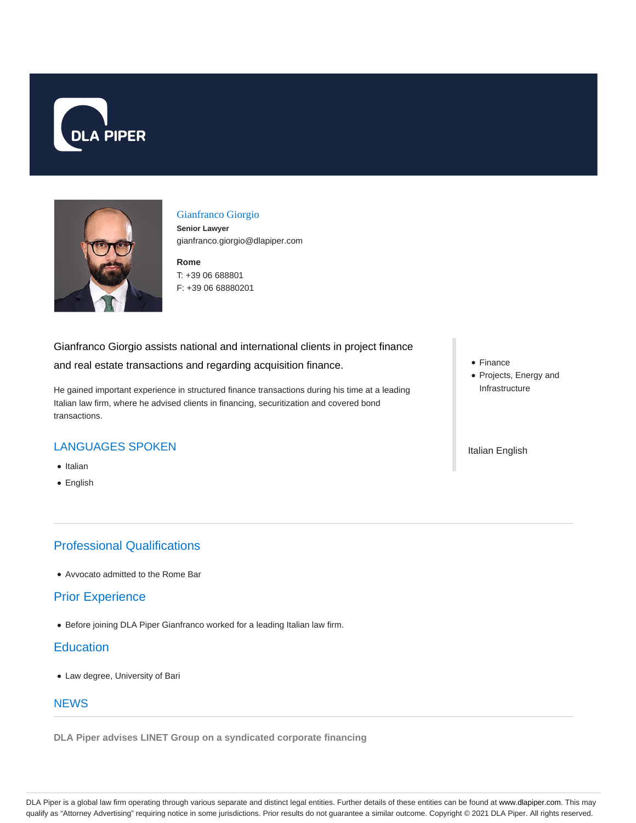



#### Gianfranco Giorgio

**Senior Lawyer** gianfranco.giorgio@dlapiper.com

**Rome** T: +39 06 688801 F: +39 06 68880201

#### Gianfranco Giorgio assists national and international clients in project finance

and real estate transactions and regarding acquisition finance.

He gained important experience in structured finance transactions during his time at a leading Italian law firm, where he advised clients in financing, securitization and covered bond transactions.

# LANGUAGES SPOKEN

- Italian
- English

# Professional Qualifications

Avvocato admitted to the Rome Bar

## Prior Experience

Before joining DLA Piper Gianfranco worked for a leading Italian law firm.

## **Education**

Law degree, University of Bari

#### **NEWS**

**DLA Piper advises LINET Group on a syndicated corporate financing**

- Finance
- Projects, Energy and Infrastructure

Italian English

DLA Piper is a global law firm operating through various separate and distinct legal entities. Further details of these entities can be found at www.dlapiper.com. This may qualify as "Attorney Advertising" requiring notice in some jurisdictions. Prior results do not guarantee a similar outcome. Copyright © 2021 DLA Piper. All rights reserved.